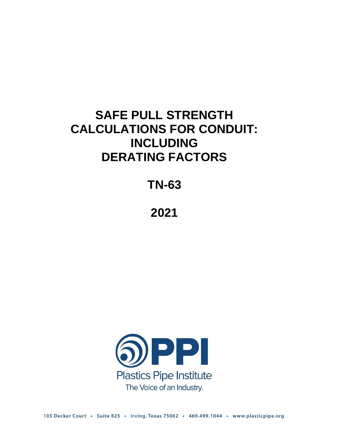# **SAFE PULL STRENGTH CALCULATIONS FOR CONDUIT: INCLUDING DERATING FACTORS**

**TN-63**

**2021**

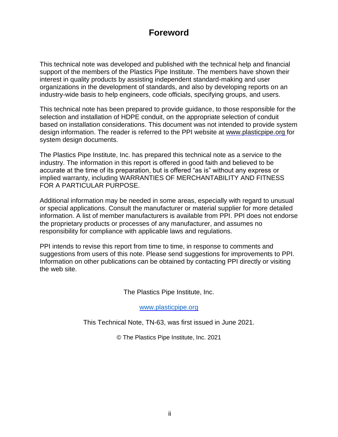## **Foreword**

This technical note was developed and published with the technical help and financial support of the members of the Plastics Pipe Institute. The members have shown their interest in quality products by assisting independent standard-making and user organizations in the development of standards, and also by developing reports on an industry-wide basis to help engineers, code officials, specifying groups, and users.

This technical note has been prepared to provide guidance, to those responsible for the selection and installation of HDPE conduit, on the appropriate selection of conduit based on installation considerations. This document was not intended to provide system design information. The reader is referred to the PPI website at [www.plasticpipe.org f](http://www.plasticpipe.org/)or system design documents.

The Plastics Pipe Institute, Inc. has prepared this technical note as a service to the industry. The information in this report is offered in good faith and believed to be accurate at the time of its preparation, but is offered "as is" without any express or implied warranty, including WARRANTIES OF MERCHANTABILITY AND FITNESS FOR A PARTICULAR PURPOSE.

Additional information may be needed in some areas, especially with regard to unusual or special applications. Consult the manufacturer or material supplier for more detailed information. A list of member manufacturers is available from PPI. PPI does not endorse the proprietary products or processes of any manufacturer, and assumes no responsibility for compliance with applicable laws and regulations.

PPI intends to revise this report from time to time, in response to comments and suggestions from users of this note. Please send suggestions for improvements to PPI. Information on other publications can be obtained by contacting PPI directly or visiting the web site.

The Plastics Pipe Institute, Inc.

[www.plasticpipe.org](https://www.plasticpipe.org/)

This Technical Note, TN-63, was first issued in June 2021.

© The Plastics Pipe Institute, Inc. 2021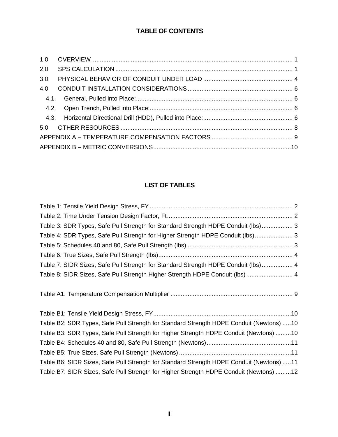## **TABLE OF CONTENTS**

| 2.0  |  |
|------|--|
| 3.0  |  |
| 4.0  |  |
| 4.1. |  |
|      |  |
|      |  |
|      |  |
|      |  |
|      |  |

## **LIST OF TABLES**

| Table 3: SDR Types, Safe Pull Strength for Standard Strength HDPE Conduit (lbs) 3  |  |
|------------------------------------------------------------------------------------|--|
| Table 4: SDR Types, Safe Pull Strength for Higher Strength HDPE Conduit (lbs) 3    |  |
|                                                                                    |  |
|                                                                                    |  |
| Table 7: SIDR Sizes, Safe Pull Strength for Standard Strength HDPE Conduit (Ibs) 4 |  |
| Table 8: SIDR Sizes, Safe Pull Strength Higher Strength HDPE Conduit (lbs)  4      |  |
|                                                                                    |  |

[Table A1: Temperature Compensation Multiplier](#page-11-1) ....................................................................... 9

| Table B2: SDR Types, Safe Pull Strength for Standard Strength HDPE Conduit (Newtons) 10  |  |
|------------------------------------------------------------------------------------------|--|
| Table B3: SDR Types, Safe Pull Strength for Higher Strength HDPE Conduit (Newtons) 10    |  |
|                                                                                          |  |
|                                                                                          |  |
| Table B6: SIDR Sizes, Safe Pull Strength for Standard Strength HDPE Conduit (Newtons) 11 |  |
| Table B7: SIDR Sizes, Safe Pull Strength for Higher Strength HDPE Conduit (Newtons) 12   |  |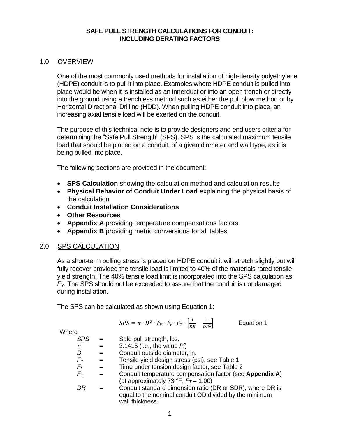#### **SAFE PULL STRENGTH CALCULATIONS FOR CONDUIT: INCLUDING DERATING FACTORS**

#### <span id="page-3-0"></span>1.0 OVERVIEW

One of the most commonly used methods for installation of high-density polyethylene (HDPE) conduit is to pull it into place. Examples where HDPE conduit is pulled into place would be when it is installed as an innerduct or into an open trench or directly into the ground using a trenchless method such as either the pull plow method or by Horizontal Directional Drilling (HDD). When pulling HDPE conduit into place, an increasing axial tensile load will be exerted on the conduit.

The purpose of this technical note is to provide designers and end users criteria for determining the "Safe Pull Strength" (SPS). SPS is the calculated maximum tensile load that should be placed on a conduit, of a given diameter and wall type, as it is being pulled into place.

The following sections are provided in the document:

- **SPS Calculation** showing the calculation method and calculation results
- **Physical Behavior of Conduit Under Load** explaining the physical basis of the calculation
- **Conduit Installation Considerations**
- **Other Resources**
- **Appendix A** providing temperature compensations factors
- **Appendix B** providing metric conversions for all tables

#### <span id="page-3-1"></span>2.0 SPS CALCULATION

As a short-term pulling stress is placed on HDPE conduit it will stretch slightly but will fully recover provided the tensile load is limited to 40% of the materials rated tensile yield strength. The 40% tensile load limit is incorporated into the SPS calculation as *FY*. The SPS should not be exceeded to assure that the conduit is not damaged during installation.

The SPS can be calculated as shown using Equation 1:

$$
SPS = \pi \cdot D^2 \cdot F_Y \cdot F_t \cdot F_T \cdot \left[\frac{1}{DR} - \frac{1}{DR^2}\right]
$$
 Equation 1

**Where** 

| <b>SPS</b> | $=$ | Safe pull strength, lbs.                                                                                                               |
|------------|-----|----------------------------------------------------------------------------------------------------------------------------------------|
| π          | $=$ | 3.1415 (i.e., the value $Pi$ )                                                                                                         |
| D          | $=$ | Conduit outside diameter, in.                                                                                                          |
| $F_Y$      | $=$ | Tensile yield design stress (psi), see Table 1                                                                                         |
| $F_t$      | $=$ | Time under tension design factor, see Table 2                                                                                          |
| $F_T$      | $=$ | Conduit temperature compensation factor (see Appendix A)<br>(at approximately 73 °F, $F_T$ = 1.00)                                     |
| DR         |     | Conduit standard dimension ratio (DR or SDR), where DR is<br>equal to the nominal conduit OD divided by the minimum<br>wall thickness. |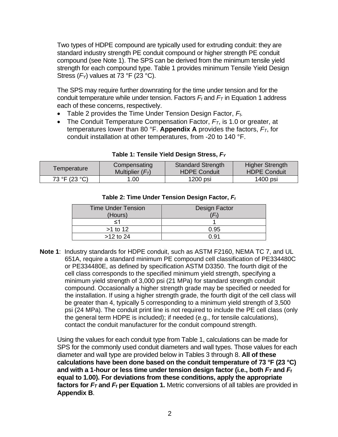Two types of HDPE compound are typically used for extruding conduit: they are standard industry strength PE conduit compound or higher strength PE conduit compound (see Note 1). The SPS can be derived from the minimum tensile yield strength for each compound type. Table 1 provides minimum Tensile Yield Design Stress (*FY*) values at 73 °F (23 °C).

The SPS may require further downrating for the time under tension and for the conduit temperature while under tension. Factors *F<sup>t</sup>* and *F<sup>T</sup>* in Equation 1 address each of these concerns, respectively.

- Table 2 provides the Time Under Tension Design Factor, *Ft.*
- The Conduit Temperature Compensation Factor, *FT*, is 1.0 or greater, at temperatures lower than 80 °F. **Appendix A** provides the factors, *FT*, for conduit installation at other temperatures, from -20 to 140 °F.

<span id="page-4-1"></span><span id="page-4-0"></span>

| Temperature   | Compensating      | <b>Standard Strength</b> | <b>Higher Strength</b> |
|---------------|-------------------|--------------------------|------------------------|
|               | Multiplier $(FT)$ | <b>HDPE Conduit</b>      | <b>HDPE Conduit</b>    |
| 73 °F (23 °C) | .00               | 1200 psi                 | 1400 psi               |

#### **Table 1: Tensile Yield Design Stress,** *F<sup>Y</sup>*

| <b>Time Under Tension</b><br>(Hours) | Design Factor<br>Η. |
|--------------------------------------|---------------------|
| <1                                   |                     |
| $>1$ to 12                           | 0.95                |
| $>12$ to 24                          | በ 91                |

#### **Table 2: Time Under Tension Design Factor,** *F<sup>t</sup>*

**Note 1**: Industry standards for HDPE conduit, such as ASTM F2160, NEMA TC 7, and UL 651A, require a standard minimum PE compound cell classification of PE334480C or PE334480E, as defined by specification ASTM D3350. The fourth digit of the cell class corresponds to the specified minimum yield strength, specifying a minimum yield strength of 3,000 psi (21 MPa) for standard strength conduit compound. Occasionally a higher strength grade may be specified or needed for the installation. If using a higher strength grade, the fourth digit of the cell class will be greater than 4, typically 5 corresponding to a minimum yield strength of 3,500 psi (24 MPa). The conduit print line is not required to include the PE cell class (only the general term HDPE is included); if needed (e.g., for tensile calculations), contact the conduit manufacturer for the conduit compound strength.

Using the values for each conduit type from Table 1, calculations can be made for SPS for the commonly used conduit diameters and wall types. Those values for each diameter and wall type are provided below in Tables 3 through 8. **All of these calculations have been done based on the conduit temperature of 73 °F (23 °C) and with a 1-hour or less time under tension design factor (i.e., both** *F<sup>T</sup>* **and** *F<sup>t</sup>* **equal to 1.00). For deviations from these conditions, apply the appropriate factors for** *F<sup>T</sup>* **and** *F<sup>t</sup>* **per Equation 1.** Metric conversions of all tables are provided in **Appendix B**.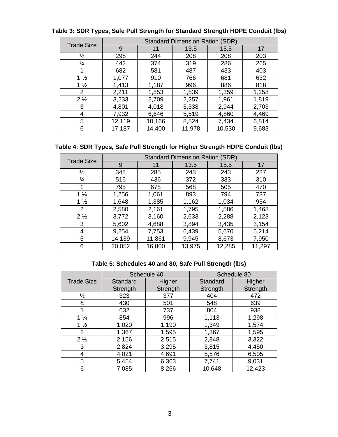| <b>Trade Size</b> |        |        | <b>Standard Dimension Ration (SDR)</b> |        |       |
|-------------------|--------|--------|----------------------------------------|--------|-------|
|                   | 9      | 11     | 13.5                                   | 15.5   | 17    |
| $\frac{1}{2}$     | 298    | 244    | 208                                    | 208    | 203   |
| $\frac{3}{4}$     | 442    | 374    | 319                                    | 286    | 265   |
| 1                 | 682    | 581    | 487                                    | 433    | 403   |
| $1\frac{1}{2}$    | 1,077  | 910    | 766                                    | 681    | 632   |
| $1\frac{1}{2}$    | 1,413  | 1,187  | 996                                    | 886    | 818   |
| 2                 | 2,211  | 1,853  | 1,539                                  | 1,359  | 1,258 |
| $2\frac{1}{2}$    | 3,233  | 2,709  | 2,257                                  | 1,961  | 1,819 |
| 3                 | 4,801  | 4,018  | 3,338                                  | 2,944  | 2,703 |
| 4                 | 7,932  | 6,646  | 5,519                                  | 4,860  | 4,469 |
| 5                 | 12,119 | 10,166 | 8,524                                  | 7,434  | 6,814 |
| 6                 | 17,187 | 14,400 | 11,978                                 | 10,530 | 9,683 |

#### <span id="page-5-0"></span>**Table 3: SDR Types, Safe Pull Strength for Standard Strength HDPE Conduit (lbs)**

#### <span id="page-5-1"></span>**Table 4: SDR Types, Safe Pull Strength for Higher Strength HDPE Conduit (lbs)**

| <b>Trade Size</b> | <b>Standard Dimension Ration (SDR)</b> |        |        |        |        |
|-------------------|----------------------------------------|--------|--------|--------|--------|
|                   | 9                                      | 11     | 13.5   | 15.5   | 17     |
| 1⁄2               | 348                                    | 285    | 243    | 243    | 237    |
| $\frac{3}{4}$     | 516                                    | 436    | 372    | 333    | 310    |
|                   | 795                                    | 678    | 568    | 505    | 470    |
| $1\frac{1}{4}$    | 1,256                                  | 1,061  | 893    | 794    | 737    |
| $1\frac{1}{2}$    | 1,648                                  | 1,385  | 1,162  | 1,034  | 954    |
| $\overline{2}$    | 2,580                                  | 2,161  | 1,795  | 1,586  | 1,468  |
| $2\frac{1}{2}$    | 3,772                                  | 3,160  | 2,633  | 2,288  | 2,123  |
| 3                 | 5,602                                  | 4,688  | 3,894  | 3,435  | 3,154  |
| 4                 | 9,254                                  | 7,753  | 6,439  | 5,670  | 5,214  |
| 5                 | 14,139                                 | 11,861 | 9,945  | 8,673  | 7,950  |
| 6                 | 20,052                                 | 16,800 | 13,975 | 12,285 | 11,297 |

#### **Table 5: Schedules 40 and 80, Safe Pull Strength (lbs)**

<span id="page-5-2"></span>

|                   | Schedule 40 |          |          | Schedule 80 |
|-------------------|-------------|----------|----------|-------------|
| <b>Trade Size</b> | Standard    | Higher   | Standard | Higher      |
|                   | Strength    | Strength | Strength | Strength    |
| $\frac{1}{2}$     | 323         | 377      | 404      | 472         |
| $\frac{3}{4}$     | 430         | 501      | 548      | 639         |
|                   | 632         | 737      | 804      | 938         |
| $1\frac{1}{4}$    | 854         | 996      | 1,113    | 1,298       |
| $1\frac{1}{2}$    | 1,020       | 1,190    | 1,349    | 1,574       |
| $\overline{2}$    | 1,367       | 1,595    | 1,367    | 1,595       |
| $2\frac{1}{2}$    | 2,156       | 2,515    | 2,848    | 3,322       |
| 3                 | 2,824       | 3,295    | 3,815    | 4,450       |
| 4                 | 4,021       | 4,691    | 5,576    | 6,505       |
| 5                 | 5,454       | 6,363    | 7,741    | 9,031       |
| 6                 | 7,085       | 8,266    | 10,648   | 12,423      |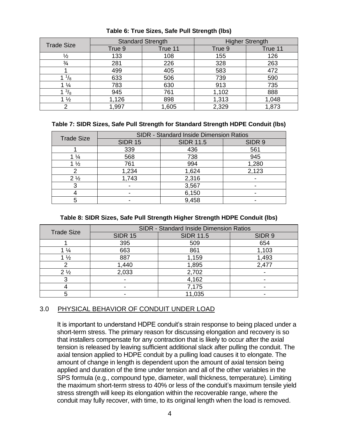| <b>Trade Size</b> | <b>Standard Strength</b> |         | <b>Higher Strength</b> |         |
|-------------------|--------------------------|---------|------------------------|---------|
|                   | True 9                   | True 11 | True 9                 | True 11 |
| $\frac{1}{2}$     | 133                      | 108     | 155                    | 126     |
| $\frac{3}{4}$     | 281                      | 226     | 328                    | 263     |
|                   | 499                      | 405     | 583                    | 472     |
| 78                | 633                      | 506     | 739                    | 590     |
| $\frac{1}{4}$     | 783                      | 630     | 913                    | 735     |
| $^{3}/_{8}$       | 945                      | 761     | 1,102                  | 888     |
| $\frac{1}{2}$     | 1,126                    | 898     | 1,313                  | 1,048   |
| ⌒                 | ,997                     | 1,605   | 2,329                  | 1,873   |

#### <span id="page-6-1"></span>**Table 6: True Sizes, Safe Pull Strength (lbs)**

#### <span id="page-6-2"></span>**Table 7: SIDR Sizes, Safe Pull Strength for Standard Strength HDPE Conduit (lbs)**

| <b>Trade Size</b> | SIDR - Standard Inside Dimension Ratios |                  |        |  |  |
|-------------------|-----------------------------------------|------------------|--------|--|--|
|                   | <b>SIDR 15</b>                          | <b>SIDR 11.5</b> | SIDR 9 |  |  |
|                   | 339                                     | 436              | 561    |  |  |
| $1\frac{1}{4}$    | 568                                     | 738              | 945    |  |  |
| $1\frac{1}{2}$    | 761                                     | 994              | 1,280  |  |  |
| 2                 | 1,234                                   | 1,624            | 2,123  |  |  |
| $2\frac{1}{2}$    | 1,743                                   | 2,316            |        |  |  |
|                   |                                         | 3,567            |        |  |  |
|                   |                                         | 6,150            |        |  |  |
|                   |                                         | 9,458            |        |  |  |

#### **Table 8: SIDR Sizes, Safe Pull Strength Higher Strength HDPE Conduit (lbs)**

<span id="page-6-3"></span>

| <b>Trade Size</b> |                          | SIDR - Standard Inside Dimension Ratios |        |
|-------------------|--------------------------|-----------------------------------------|--------|
|                   | <b>SIDR 15</b>           | <b>SIDR 11.5</b>                        | SIDR 9 |
|                   | 395                      | 509                                     | 654    |
| $1\frac{1}{4}$    | 663                      | 861                                     | 1,103  |
| $1\frac{1}{2}$    | 887                      | 1,159                                   | 1,493  |
|                   | 1,440                    | 1,895                                   | 2,477  |
| $2\frac{1}{2}$    | 2,033                    | 2,702                                   |        |
|                   | $\overline{\phantom{0}}$ | 4,162                                   |        |
|                   |                          | 7,175                                   |        |
|                   |                          | 11,035                                  |        |

#### <span id="page-6-0"></span>3.0 PHYSICAL BEHAVIOR OF CONDUIT UNDER LOAD

It is important to understand HDPE conduit's strain response to being placed under a short-term stress. The primary reason for discussing elongation and recovery is so that installers compensate for any contraction that is likely to occur after the axial tension is released by leaving sufficient additional slack after pulling the conduit. The axial tension applied to HDPE conduit by a pulling load causes it to elongate. The amount of change in length is dependent upon the amount of axial tension being applied and duration of the time under tension and all of the other variables in the SPS formula (e.g., compound type, diameter, wall thickness, temperature). Limiting the maximum short-term stress to 40% or less of the conduit's maximum tensile yield stress strength will keep its elongation within the recoverable range, where the conduit may fully recover, with time, to its original length when the load is removed.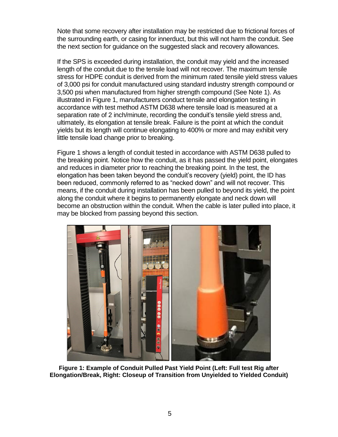Note that some recovery after installation may be restricted due to frictional forces of the surrounding earth, or casing for innerduct, but this will not harm the conduit. See the next section for guidance on the suggested slack and recovery allowances.

If the SPS is exceeded during installation, the conduit may yield and the increased length of the conduit due to the tensile load will not recover. The maximum tensile stress for HDPE conduit is derived from the minimum rated tensile yield stress values of 3,000 psi for conduit manufactured using standard industry strength compound or 3,500 psi when manufactured from higher strength compound (See Note 1). As illustrated in Figure 1, manufacturers conduct tensile and elongation testing in accordance with test method ASTM D638 where tensile load is measured at a separation rate of 2 inch/minute, recording the conduit's tensile yield stress and, ultimately, its elongation at tensile break. Failure is the point at which the conduit yields but its length will continue elongating to 400% or more and may exhibit very little tensile load change prior to breaking.

Figure 1 shows a length of conduit tested in accordance with ASTM D638 pulled to the breaking point. Notice how the conduit, as it has passed the yield point, elongates and reduces in diameter prior to reaching the breaking point. In the test, the elongation has been taken beyond the conduit's recovery (yield) point, the ID has been reduced, commonly referred to as "necked down" and will not recover. This means, if the conduit during installation has been pulled to beyond its yield, the point along the conduit where it begins to permanently elongate and neck down will become an obstruction within the conduit. When the cable is later pulled into place, it may be blocked from passing beyond this section.



**Figure 1: Example of Conduit Pulled Past Yield Point (Left: Full test Rig after Elongation/Break, Right: Closeup of Transition from Unyielded to Yielded Conduit)**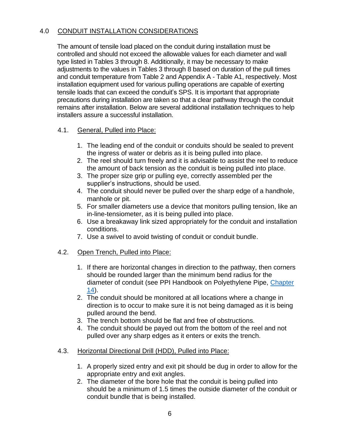### 4.0 CONDUIT INSTALLATION CONSIDERATIONS

<span id="page-8-0"></span>The amount of tensile load placed on the conduit during installation must be controlled and should not exceed the allowable values for each diameter and wall type listed in Tables 3 through 8. Additionally, it may be necessary to make adjustments to the values in Tables 3 through 8 based on duration of the pull times and conduit temperature from Table 2 and Appendix A - Table A1, respectively. Most installation equipment used for various pulling operations are capable of exerting tensile loads that can exceed the conduit's SPS. It is important that appropriate precautions during installation are taken so that a clear pathway through the conduit remains after installation. Below are several additional installation techniques to help installers assure a successful installation.

#### <span id="page-8-1"></span>4.1. General, Pulled into Place:

- 1. The leading end of the conduit or conduits should be sealed to prevent the ingress of water or debris as it is being pulled into place.
- 2. The reel should turn freely and it is advisable to assist the reel to reduce the amount of back tension as the conduit is being pulled into place.
- 3. The proper size grip or pulling eye, correctly assembled per the supplier's instructions, should be used.
- 4. The conduit should never be pulled over the sharp edge of a handhole, manhole or pit.
- 5. For smaller diameters use a device that monitors pulling tension, like an in-line-tensiometer, as it is being pulled into place.
- 6. Use a breakaway link sized appropriately for the conduit and installation conditions.
- 7. Use a swivel to avoid twisting of conduit or conduit bundle.

#### <span id="page-8-2"></span>4.2. Open Trench, Pulled into Place:

- 1. If there are horizontal changes in direction to the pathway, then corners should be rounded larger than the minimum bend radius for the diameter of conduit (see PPI Handbook on Polyethylene Pipe, [Chapter](https://plasticpipe.org/pdf/chapter14.pdf)  [14\)](https://plasticpipe.org/pdf/chapter14.pdf).
- 2. The conduit should be monitored at all locations where a change in direction is to occur to make sure it is not being damaged as it is being pulled around the bend.
- 3. The trench bottom should be flat and free of obstructions.
- 4. The conduit should be payed out from the bottom of the reel and not pulled over any sharp edges as it enters or exits the trench.

#### <span id="page-8-3"></span>4.3. Horizontal Directional Drill (HDD), Pulled into Place:

- 1. A properly sized entry and exit pit should be dug in order to allow for the appropriate entry and exit angles.
- 2. The diameter of the bore hole that the conduit is being pulled into should be a minimum of 1.5 times the outside diameter of the conduit or conduit bundle that is being installed.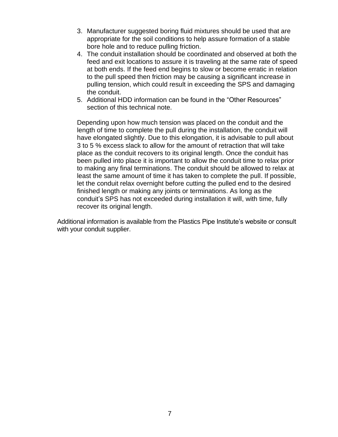- 3. Manufacturer suggested boring fluid mixtures should be used that are appropriate for the soil conditions to help assure formation of a stable bore hole and to reduce pulling friction.
- 4. The conduit installation should be coordinated and observed at both the feed and exit locations to assure it is traveling at the same rate of speed at both ends. If the feed end begins to slow or become erratic in relation to the pull speed then friction may be causing a significant increase in pulling tension, which could result in exceeding the SPS and damaging the conduit.
- 5. Additional HDD information can be found in the "Other Resources" section of this technical note.

Depending upon how much tension was placed on the conduit and the length of time to complete the pull during the installation, the conduit will have elongated slightly. Due to this elongation, it is advisable to pull about 3 to 5 % excess slack to allow for the amount of retraction that will take place as the conduit recovers to its original length. Once the conduit has been pulled into place it is important to allow the conduit time to relax prior to making any final terminations. The conduit should be allowed to relax at least the same amount of time it has taken to complete the pull. If possible, let the conduit relax overnight before cutting the pulled end to the desired finished length or making any joints or terminations. As long as the conduit's SPS has not exceeded during installation it will, with time, fully recover its original length.

Additional information is available from the Plastics Pipe Institute's website or consult with your conduit supplier.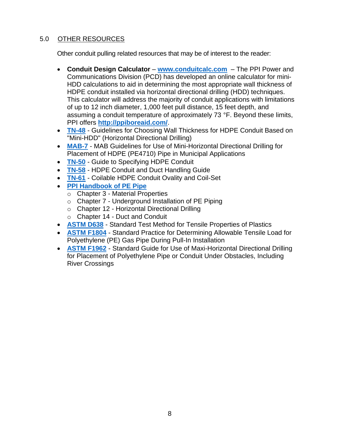## <span id="page-10-0"></span>5.0 OTHER RESOURCES

Other conduit pulling related resources that may be of interest to the reader:

- **Conduit Design Calculator [www.conduitcalc.com](http://www.conduitcalc.com/)** The PPI Power and Communications Division (PCD) has developed an online calculator for mini-HDD calculations to aid in determining the most appropriate wall thickness of HDPE conduit installed via horizontal directional drilling (HDD) techniques. This calculator will address the majority of conduit applications with limitations of up to 12 inch diameter, 1,000 feet pull distance, 15 feet depth, and assuming a conduit temperature of approximately 73 °F. Beyond these limits, PPI offers **<http://ppiboreaid.com/>**.
- **[TN-48](https://plasticpipe.org/pdf/tn-48-choosing-wall-thickness-conduit-hdd.pdf)** Guidelines for Choosing Wall Thickness for HDPE Conduit Based on "Mini-HDD" (Horizontal Directional Drilling)
- **[MAB-7](https://plasticpipe.org/pdf/mab-7-mini-hdd-guide.pdf)** MAB Guidelines for Use of Mini-Horizontal Directional Drilling for Placement of HDPE (PE4710) Pipe in Municipal Applications
- **[TN-50](https://plasticpipe.org/pdf/tn-50-guide-to-specifying-hdpe-conduit.pdf)** Guide to Specifying HDPE Conduit
- **[TN-58](https://plasticpipe.org/pdf/tn-58.pdf)** HDPE Conduit and Duct Handling Guide
- **[TN-61](https://plasticpipe.org/pdf/tn-61.pdf)** Coilable HDPE Conduit Ovality and Coil-Set
- **[PPI Handbook](https://plasticpipe.org/publications/pe-handbook.html) of PE Pipe**
	- o [Chapter 3](https://plasticpipe.org/pdf/chapter03.pdf) Material Properties
	- $\circ$  Chapter 7 Underground Installation of PE Piping
	- o [Chapter 12](https://plasticpipe.org/pdf/chapter12.pdf) Horizontal Directional Drilling
	- o [Chapter 14](https://plasticpipe.org/pdf/chapter14.pdf) Duct and Conduit
- **[ASTM D638](http://www.astm.org/cgi-bin/resolver.cgi?D638)** Standard Test Method for Tensile Properties of Plastics
- **[ASTM F1804](http://www.astm.org/cgi-bin/resolver.cgi?F1804)** Standard Practice for Determining Allowable Tensile Load for Polyethylene (PE) Gas Pipe During Pull-In Installation
- **[ASTM F1962](http://www.astm.org/cgi-bin/resolver.cgi?F1962)** Standard Guide for Use of Maxi-Horizontal Directional Drilling for Placement of Polyethylene Pipe or Conduit Under Obstacles, Including River Crossings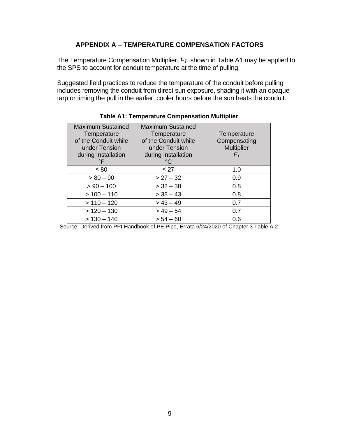#### **APPENDIX A – TEMPERATURE COMPENSATION FACTORS**

<span id="page-11-0"></span>The Temperature Compensation Multiplier, *FT*, shown in Table A1 may be applied to the SPS to account for conduit temperature at the time of pulling.

Suggested field practices to reduce the temperature of the conduit before pulling includes removing the conduit from direct sun exposure, shading it with an opaque tarp or timing the pull in the earlier, cooler hours before the sun heats the conduit.

<span id="page-11-1"></span>

| <b>Maximum Sustained</b><br>Temperature<br>of the Conduit while<br>under Tension<br>during Installation<br>$\circ$ F | <b>Maximum Sustained</b><br>Temperature<br>of the Conduit while<br>under Tension<br>during Installation<br>°C | Temperature<br>Compensating<br><b>Multiplier</b><br>$F_T$ |
|----------------------------------------------------------------------------------------------------------------------|---------------------------------------------------------------------------------------------------------------|-----------------------------------------------------------|
| $\leq 80$                                                                                                            | $\leq$ 27                                                                                                     | 1.0                                                       |
| $> 80 - 90$                                                                                                          | $> 27 - 32$                                                                                                   | 0.9                                                       |
| $> 90 - 100$                                                                                                         | $> 32 - 38$                                                                                                   | 0.8                                                       |
| $> 100 - 110$                                                                                                        | $>$ 38 – 43                                                                                                   | 0.8                                                       |
| $> 110 - 120$                                                                                                        | $> 43 - 49$                                                                                                   | 0.7                                                       |
| $> 120 - 130$                                                                                                        | $> 49 - 54$                                                                                                   | 0.7                                                       |
| $> 130 - 140$                                                                                                        | $> 54 - 60$                                                                                                   | 0.6                                                       |

#### **Table A1: Temperature Compensation Multiplier**

Source: Derived from PPI Handbook of PE Pipe, Errata 6/24/2020 of Chapter 3 Table A.2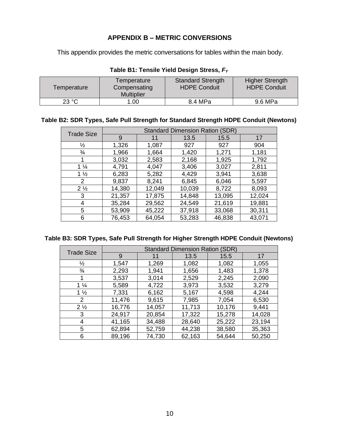## **APPENDIX B – METRIC CONVERSIONS**

<span id="page-12-0"></span>This appendix provides the metric conversations for tables within the main body.

<span id="page-12-1"></span>

| Temperature | Temperature<br>Compensating<br><b>Multiplier</b> | <b>Standard Strength</b><br><b>HDPE Conduit</b> | <b>Higher Strength</b><br><b>HDPE Conduit</b> |
|-------------|--------------------------------------------------|-------------------------------------------------|-----------------------------------------------|
| 23 °C       | 00.1                                             | 8.4 MPa                                         | 9.6 MPa                                       |

#### **Table B1: Tensile Yield Design Stress,** *F<sup>Y</sup>*

#### <span id="page-12-2"></span>**Table B2: SDR Types, Safe Pull Strength for Standard Strength HDPE Conduit (Newtons)**

| <b>Trade Size</b> | <b>Standard Dimension Ration (SDR)</b> |        |        |        |        |
|-------------------|----------------------------------------|--------|--------|--------|--------|
|                   | 9                                      | 11     | 13.5   | 15.5   | 17     |
| ⅛                 | 1,326                                  | 1,087  | 927    | 927    | 904    |
| $\frac{3}{4}$     | 1,966                                  | 1,664  | 1,420  | 1,271  | 1,181  |
|                   | 3,032                                  | 2,583  | 2,168  | 1,925  | 1,792  |
| $1\frac{1}{4}$    | 4,791                                  | 4,047  | 3,406  | 3,027  | 2,811  |
| $1\frac{1}{2}$    | 6,283                                  | 5,282  | 4,429  | 3,941  | 3,638  |
| 2                 | 9,837                                  | 8,241  | 6,845  | 6,046  | 5,597  |
| $2\frac{1}{2}$    | 14,380                                 | 12,049 | 10,039 | 8,722  | 8,093  |
| 3                 | 21,357                                 | 17,875 | 14,848 | 13,095 | 12,024 |
| 4                 | 35,284                                 | 29,562 | 24,549 | 21,619 | 19,881 |
| 5                 | 53,909                                 | 45,222 | 37,918 | 33,068 | 30,311 |
| 6                 | 76,453                                 | 64,054 | 53,283 | 46,838 | 43,071 |

#### <span id="page-12-3"></span>**Table B3: SDR Types, Safe Pull Strength for Higher Strength HDPE Conduit (Newtons)**

| <b>Trade Size</b> | <b>Standard Dimension Ration</b><br>(SDR) |        |        |        |        |
|-------------------|-------------------------------------------|--------|--------|--------|--------|
|                   | 9                                         | 11     | 13.5   | 15.5   | 17     |
| $\frac{1}{2}$     | 1,547                                     | 1,269  | 1,082  | 1,082  | 1,055  |
| $\frac{3}{4}$     | 2,293                                     | 1,941  | 1,656  | 1,483  | 1,378  |
|                   | 3,537                                     | 3,014  | 2,529  | 2,245  | 2,090  |
| $1\frac{1}{4}$    | 5,589                                     | 4,722  | 3,973  | 3,532  | 3,279  |
| $1\frac{1}{2}$    | 7,331                                     | 6,162  | 5,167  | 4,598  | 4,244  |
| 2                 | 11,476                                    | 9,615  | 7,985  | 7,054  | 6,530  |
| $2\frac{1}{2}$    | 16,776                                    | 14,057 | 11,713 | 10,176 | 9,441  |
| 3                 | 24,917                                    | 20,854 | 17,322 | 15,278 | 14,028 |
| 4                 | 41,165                                    | 34,488 | 28,640 | 25,222 | 23,194 |
| 5                 | 62,894                                    | 52,759 | 44,238 | 38,580 | 35,363 |
| 6                 | 89,196                                    | 74,730 | 62,163 | 54,644 | 50,250 |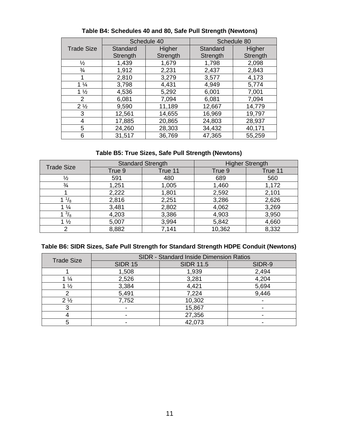|                   | Schedule 40 |          | Schedule 80 |          |
|-------------------|-------------|----------|-------------|----------|
| <b>Trade Size</b> | Standard    | Higher   | Standard    | Higher   |
|                   | Strength    | Strength | Strength    | Strength |
| $\frac{1}{2}$     | 1,439       | 1,679    | 1,798       | 2,098    |
| $\frac{3}{4}$     | 1,912       | 2,231    | 2,437       | 2,843    |
| 1                 | 2,810       | 3,279    | 3,577       | 4,173    |
| $1\frac{1}{4}$    | 3,798       | 4,431    | 4,949       | 5,774    |
| $1\frac{1}{2}$    | 4,536       | 5,292    | 6,001       | 7,001    |
| 2                 | 6,081       | 7,094    | 6,081       | 7,094    |
| $2\frac{1}{2}$    | 9,590       | 11,189   | 12,667      | 14,779   |
| 3                 | 12,561      | 14,655   | 16,969      | 19,797   |
| 4                 | 17,885      | 20,865   | 24,803      | 28,937   |
| 5                 | 24,260      | 28,303   | 34,432      | 40,171   |
| 6                 | 31,517      | 36,769   | 47,365      | 55,259   |

<span id="page-13-0"></span>**Table B4: Schedules 40 and 80, Safe Pull Strength (Newtons)**

#### **Table B5: True Sizes, Safe Pull Strength (Newtons)**

<span id="page-13-1"></span>

| <b>Trade Size</b> | <b>Standard Strength</b> |         | <b>Higher Strength</b> |         |
|-------------------|--------------------------|---------|------------------------|---------|
|                   | True 9                   | True 11 | True 9                 | True 11 |
| $\frac{1}{2}$     | 591                      | 480     | 689                    | 560     |
| $\frac{3}{4}$     | 1,251                    | 1,005   | 1,460                  | 1,172   |
|                   | 2,222                    | 1,801   | 2,592                  | 2,101   |
| $^{1}/_{8}$       | 2,816                    | 2,251   | 3,286                  | 2,626   |
| $\frac{1}{4}$     | 3,481                    | 2,802   | 4,062                  | 3,269   |
| $^{3}/_{8}$       | 4,203                    | 3,386   | 4,903                  | 3,950   |
| $1\frac{1}{2}$    | 5,007                    | 3,994   | 5,842                  | 4,660   |
| ⌒                 | 8,882                    | 7,141   | 10,362                 | 8,332   |

#### <span id="page-13-2"></span>**Table B6: SIDR Sizes, Safe Pull Strength for Standard Strength HDPE Conduit (Newtons)**

| <b>Trade Size</b> |                | SIDR - Standard Inside Dimension Ratios |        |
|-------------------|----------------|-----------------------------------------|--------|
|                   | <b>SIDR 15</b> | <b>SIDR 11.5</b>                        | SIDR-9 |
|                   | 1,508          | 1,939                                   | 2,494  |
| $1\frac{1}{4}$    | 2,526          | 3,281                                   | 4,204  |
| $1\frac{1}{2}$    | 3,384          | 4,421                                   | 5,694  |
|                   | 5,491          | 7,224                                   | 9,446  |
| $2\frac{1}{2}$    | 7,752          | 10,302                                  |        |
|                   |                | 15,867                                  |        |
|                   |                | 27,356                                  |        |
| 5                 |                | 42,073                                  |        |